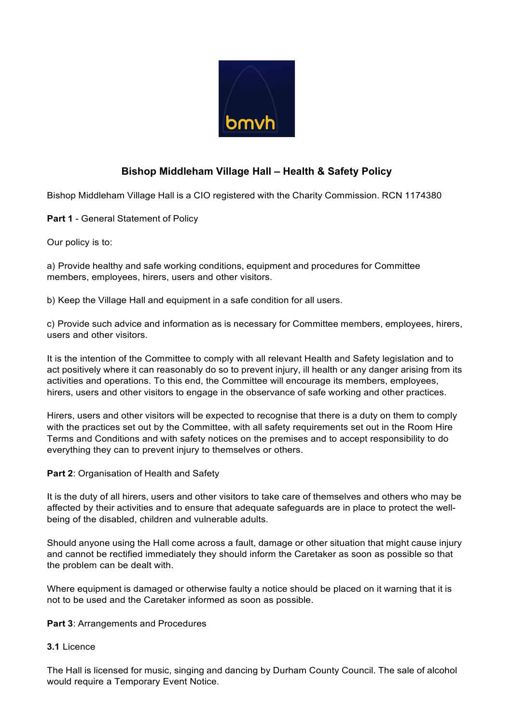

# **Bishop Middleham Village Hall – Health & Safety Policy**

Bishop Middleham Village Hall is a CIO registered with the Charity Commission. RCN 1174380

**Part 1** - General Statement of Policy

Our policy is to:

a) Provide healthy and safe working conditions, equipment and procedures for Committee members, employees, hirers, users and other visitors.

b) Keep the Village Hall and equipment in a safe condition for all users.

c) Provide such advice and information as is necessary for Committee members, employees, hirers, users and other visitors.

It is the intention of the Committee to comply with all relevant Health and Safety legislation and to act positively where it can reasonably do so to prevent injury, ill health or any danger arising from its activities and operations. To this end, the Committee will encourage its members, employees, hirers, users and other visitors to engage in the observance of safe working and other practices.

Hirers, users and other visitors will be expected to recognise that there is a duty on them to comply with the practices set out by the Committee, with all safety requirements set out in the Room Hire Terms and Conditions and with safety notices on the premises and to accept responsibility to do everything they can to prevent injury to themselves or others.

**Part 2**: Organisation of Health and Safety

It is the duty of all hirers, users and other visitors to take care of themselves and others who may be affected by their activities and to ensure that adequate safeguards are in place to protect the wellbeing of the disabled, children and vulnerable adults.

Should anyone using the Hall come across a fault, damage or other situation that might cause injury and cannot be rectified immediately they should inform the Caretaker as soon as possible so that the problem can be dealt with.

Where equipment is damaged or otherwise faulty a notice should be placed on it warning that it is not to be used and the Caretaker informed as soon as possible.

#### **Part 3**: Arrangements and Procedures

#### **3.1** Licence

The Hall is licensed for music, singing and dancing by Durham County Council. The sale of alcohol would require a Temporary Event Notice.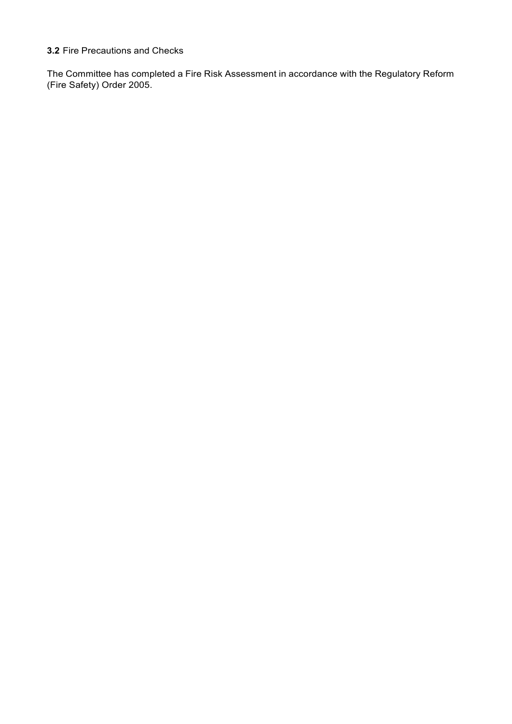### **3.2** Fire Precautions and Checks

The Committee has completed a Fire Risk Assessment in accordance with the Regulatory Reform (Fire Safety) Order 2005.